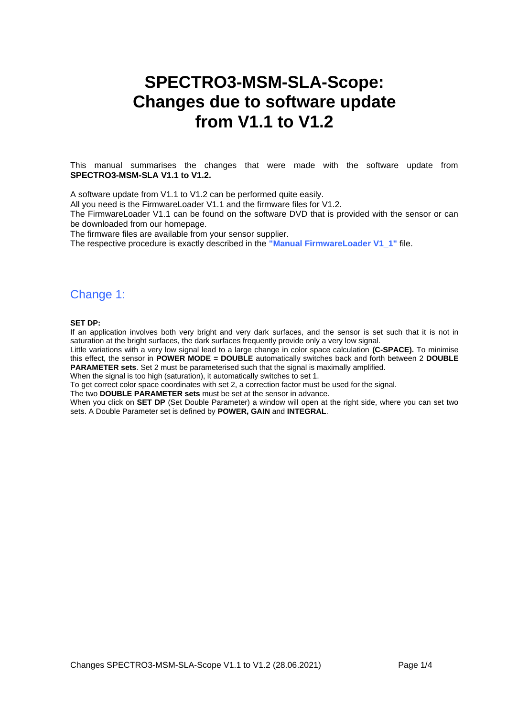# **SPECTRO3-MSM-SLA-Scope: Changes due to software update from V1.1 to V1.2**

This manual summarises the changes that were made with the software update from **SPECTRO3-MSM-SLA V1.1 to V1.2.**

A software update from V1.1 to V1.2 can be performed quite easily.

All you need is the FirmwareLoader V1.1 and the firmware files for V1.2.

The FirmwareLoader V1.1 can be found on the software DVD that is provided with the sensor or can be downloaded from our homepage.

The firmware files are available from your sensor supplier.

The respective procedure is exactly described in the **"Manual FirmwareLoader V1\_1"** file.

## Change 1:

**SET DP:**

If an application involves both very bright and very dark surfaces, and the sensor is set such that it is not in saturation at the bright surfaces, the dark surfaces frequently provide only a very low signal.

Little variations with a very low signal lead to a large change in color space calculation **(C-SPACE).** To minimise this effect, the sensor in **POWER MODE = DOUBLE** automatically switches back and forth between 2 **DOUBLE PARAMETER sets**. Set 2 must be parameterised such that the signal is maximally amplified.

When the signal is too high (saturation), it automatically switches to set 1.

To get correct color space coordinates with set 2, a correction factor must be used for the signal.

The two **DOUBLE PARAMETER sets** must be set at the sensor in advance.

When you click on **SET DP** (Set Double Parameter) a window will open at the right side, where you can set two sets. A Double Parameter set is defined by **POWER, GAIN** and **INTEGRAL**.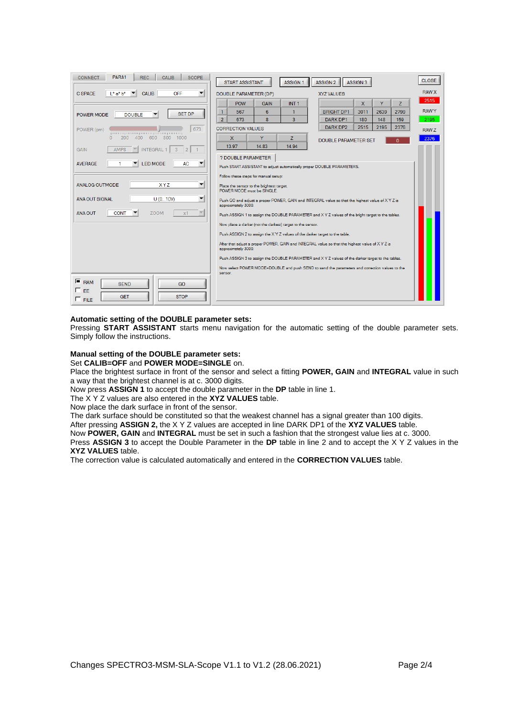| PARA1<br><b>SCOPE</b><br><b>REC</b><br><b>CALIB</b><br><b>CONNECT</b>                               | ASSIGN <sub>2</sub><br><b>START ASSISTANT</b><br><b>ASSIGN 1</b><br>ASSIGN <sub>3</sub>                                 | <b>CLOSE</b> |
|-----------------------------------------------------------------------------------------------------|-------------------------------------------------------------------------------------------------------------------------|--------------|
| OFF<br>C SPACE<br>$L^*$ a <sup>*</sup> $h^*$<br><b>CALIB</b>                                        | DOUBLE PARAMETER (DP)<br><b>XYZ VALUES</b>                                                                              | <b>RAW X</b> |
|                                                                                                     | <b>POW</b><br>Y<br>INT <sub>1</sub><br>X<br><b>GAIN</b><br>z                                                            | 2515         |
| <b>SET DP</b><br><b>DOUBLE</b><br>POWER MODE                                                        | 567<br>6.<br><b>BRIGHT DP1</b><br>3011<br>2639<br>2799<br>1.<br>1                                                       | <b>RAWY</b>  |
|                                                                                                     | $\overline{2}$<br>8<br>$\overline{3}$<br><b>DARK DP1</b><br>673<br>180<br>148<br>159                                    | 2195         |
| 673<br>POWER (pm)                                                                                   | <b>DARK DP2</b><br>2515<br>2195<br>2376<br><b>CORRECTION VALUES</b>                                                     | <b>RAW Z</b> |
| 600<br>800<br>200<br>400<br>1000<br>$\Omega$                                                        | Y<br>$\mathbf{x}$<br>z<br><b>DOUBLE PARAMETER SET</b><br>n                                                              | 2376         |
| AMP8<br><b>INTEGRAL</b><br>3<br><b>GAIN</b><br>$\overline{2}$                                       | 13.97<br>14.83<br>14.94                                                                                                 |              |
|                                                                                                     | ? DOUBLE PARAMETER                                                                                                      |              |
| LED MODE<br><b>AC</b><br><b>AVERAGE</b>                                                             | Push START ASSISTANT to adjust automatically proper DOUBLE PARAMETERS.                                                  |              |
|                                                                                                     | Follow these steps for manual setup:                                                                                    |              |
| ▼<br>ANALOG OUTMODE<br><b>XYZ</b>                                                                   | Place the sensor to the brightest target.<br>POWER MODE must be SINGLE.                                                 |              |
| ▼<br><b>ANA OUT SIGNAL</b><br>U(010V)                                                               | Push GO and adjust a proper POWER, GAIN and INTEGRAL value so that the highest value of X Y Z is<br>approximately 3000. |              |
| <b>CONT</b><br><b>ZOOM</b><br>x1<br><b>ANA OUT</b>                                                  | Push ASSIGN 1 to assign the DOUBLE PARAMETER and XYZ values of the bright target to the tables.                         |              |
|                                                                                                     | Now place a darker (not the darkest) target to the sensor.                                                              |              |
|                                                                                                     | Push ASSIGN 2 to assign the X Y Z values of the darker target to the table.                                             |              |
|                                                                                                     | After that adjust a proper POWER, GAIN and INTEGRAL value so that the highest value of XYZ is<br>approximately 3000.    |              |
|                                                                                                     | Push ASSIGN 3 to assign the DOUBLE PARAMETER and X Y Z values of the darker target to the tables.                       |              |
|                                                                                                     | Now select POWER MODE=DOUBLE and push SEND to send the parameters and correction values to the<br>sensor.               |              |
| $F$ <sub>RAM</sub><br><b>SEND</b><br>GO<br>$\sqsubset$ FF.<br><b>GET</b><br><b>STOP</b><br>$F$ FILE |                                                                                                                         |              |

### **Automatic setting of the DOUBLE parameter sets:**

Pressing **START ASSISTANT** starts menu navigation for the automatic setting of the double parameter sets. Simply follow the instructions.

## **Manual setting of the DOUBLE parameter sets:**

Set **CALIB=OFF** and **POWER MODE=SINGLE** on.

Place the brightest surface in front of the sensor and select a fitting **POWER, GAIN** and **INTEGRAL** value in such a way that the brightest channel is at c. 3000 digits.

Now press **ASSIGN 1** to accept the double parameter in the **DP** table in line 1.

The X Y Z values are also entered in the **XYZ VALUES** table.

Now place the dark surface in front of the sensor.

The dark surface should be constituted so that the weakest channel has a signal greater than 100 digits.

After pressing **ASSIGN 2,** the X Y Z values are accepted in line DARK DP1 of the **XYZ VALUES** table.

Now **POWER, GAIN** and **INTEGRAL** must be set in such a fashion that the strongest value lies at c. 3000. Press **ASSIGN 3** to accept the Double Parameter in the **DP** table in line 2 and to accept the X Y Z values in the

#### **XYZ VALUES** table.

The correction value is calculated automatically and entered in the **CORRECTION VALUES** table.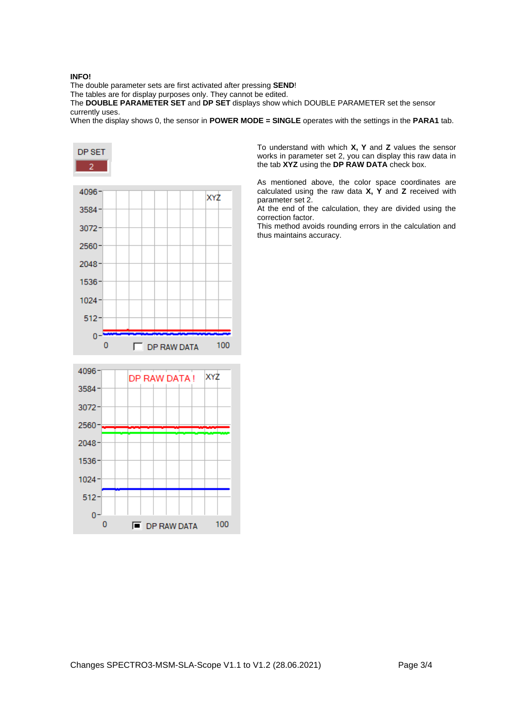## **INFO!**

2048

1536

1024

 $512 -$ 

 $\mathbf{0}$  $\mathbf{0}$ 

The double parameter sets are first activated after pressing **SEND**!

The tables are for display purposes only. They cannot be edited.

The **DOUBLE PARAMETER SET** and **DP SET** displays show which DOUBLE PARAMETER set the sensor currently uses.

When the display shows 0, the sensor in **POWER MODE = SINGLE** operates with the settings in the **PARA1** tab.



To understand with which **X, Y** and **Z** values the sensor works in parameter set 2, you can display this raw data in the tab **XYZ** using the **DP RAW DATA** check box.

As mentioned above, the color space coordinates are calculated using the raw data **X, Y** and **Z** received with parameter set 2.

At the end of the calculation, they are divided using the correction factor.

This method avoids rounding errors in the calculation and thus maintains accuracy.

100

 $\blacksquare$  DP RAW DATA